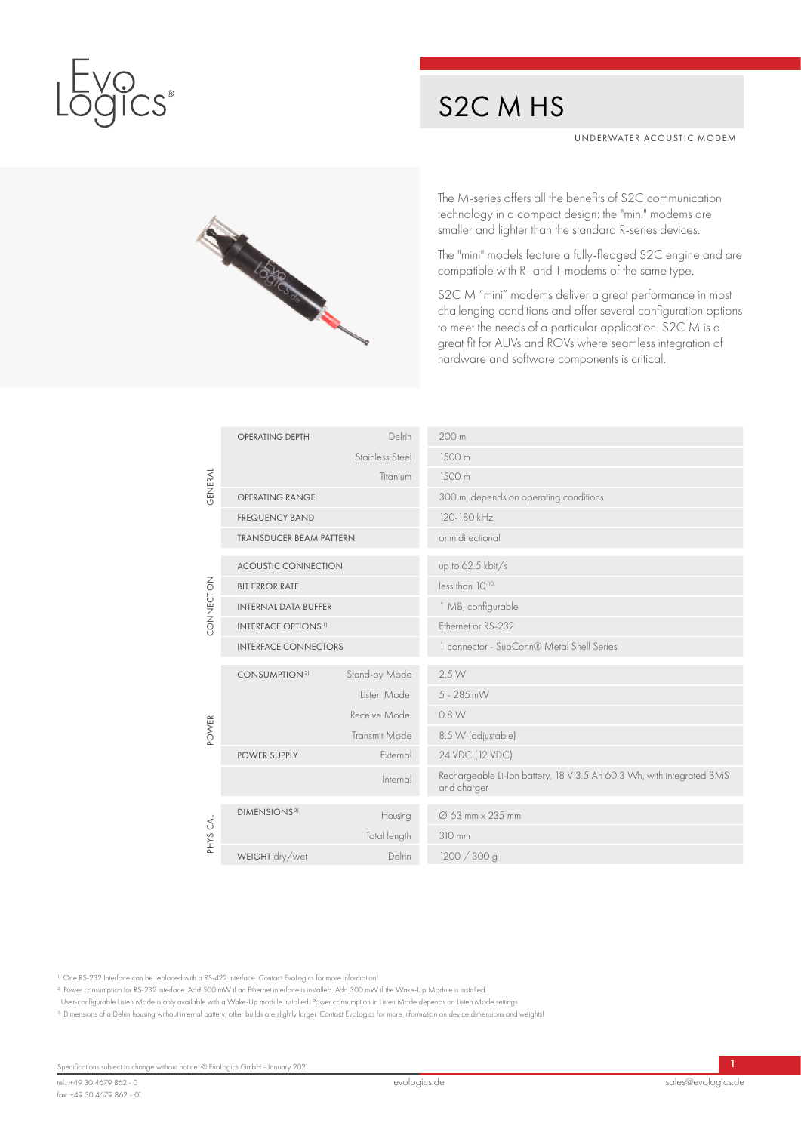

## S2C M HS

UNDERWATER ACOUSTIC MODEM



The M-series offers all the benefits of S2C communication technology in a compact design: the "mini" modems are smaller and lighter than the standard R-series devices.

The "mini" models feature a fully-fledged S2C engine and are compatible with R- and T-modems of the same type.

S2C M "mini" modems deliver a great performance in most challenging conditions and offer several configuration options to meet the needs of a particular application. S2C M is a great fit for AUVs and ROVs where seamless integration of hardware and software components is critical.

|            | <b>OPERATING DEPTH</b>                 | Delrin               | 200 <sub>m</sub>                                                                     |
|------------|----------------------------------------|----------------------|--------------------------------------------------------------------------------------|
|            |                                        | Stainless Steel      | 1500 m                                                                               |
| GENERAL    |                                        | Titanium             | 1500m                                                                                |
|            | <b>OPERATING RANGE</b>                 |                      | 300 m, depends on operating conditions                                               |
|            | <b>FREQUENCY BAND</b>                  |                      | 120-180 kHz                                                                          |
|            | <b>TRANSDUCER BEAM PATTERN</b>         |                      | omnidirectional                                                                      |
|            | <b>ACOUSTIC CONNECTION</b>             |                      | up to 62.5 kbit/s                                                                    |
|            | <b>BIT ERROR RATE</b>                  |                      | less than 10-10                                                                      |
| CONNECTION | <b>INTERNAL DATA BUFFER</b>            |                      | 1 MB, configurable                                                                   |
|            | <b>INTERFACE OPTIONS</b> <sup>1)</sup> |                      | Ethernet or RS-232                                                                   |
|            | <b>INTERFACE CONNECTORS</b>            |                      | 1 connector - SubConn® Metal Shell Series                                            |
|            | CONSUMPTION <sup>2)</sup>              | Stand-by Mode        | 2.5 W                                                                                |
|            |                                        | Listen Mode          | 5 - 285 mW                                                                           |
|            |                                        | Receive Mode         | 0.8 W                                                                                |
| POWER      |                                        | <b>Transmit Mode</b> | 8.5 W (adjustable)                                                                   |
|            | <b>POWER SUPPLY</b>                    | External             | 24 VDC (12 VDC)                                                                      |
|            |                                        | Internal             | Rechargeable Li-Ion battery, 18 V 3.5 Ah 60.3 Wh, with integrated BMS<br>and charger |
|            | <b>DIMENSIONS</b> <sup>3)</sup>        | Housing              | Ø 63 mm × 235 mm                                                                     |
| PHYSICAL   |                                        | Total length         | 310 mm                                                                               |
|            | WEIGHT dry/wet                         | Delrin               | 1200 / 300 g                                                                         |

1) One RS-232 Interface can be replaced with a RS-422 interface. Contact EvoLogics for more information!

2) Power consumption for RS-232 interface. Add 500 mW if an Ethernet interface is installed. Add 300 mW if the Wake-Up Module is installed.

User-configurable Listen Mode is only available with a Wake-Up module installed. Power consumption in Listen Mode depends on Listen Mode settings.

3) Dimensions of a Delrin housing without internal battery, other builds are slightly larger. Contact EvoLogics for more information on device dimensions and weights!